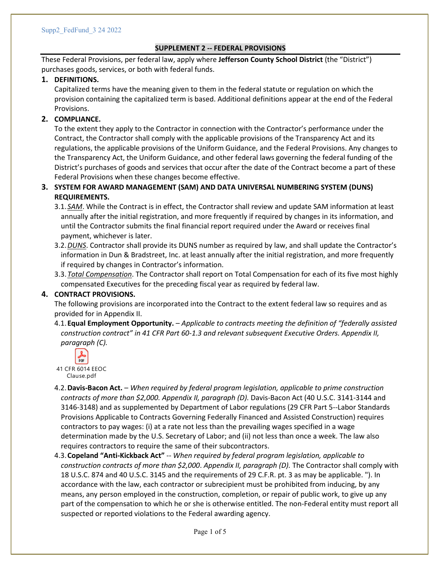# **SUPPLEMENT 2 -- FEDERAL PROVISIONS**

These Federal Provisions, per federal law, apply where **Jefferson County School District** (the "District") purchases goods, services, or both with federal funds.

### **1. DEFINITIONS.**

Capitalized terms have the meaning given to them in the federal statute or regulation on which the provision containing the capitalized term is based. Additional definitions appear at the end of the Federal Provisions.

# **2. COMPLIANCE.**

To the extent they apply to the Contractor in connection with the Contractor's performance under the Contract, the Contractor shall comply with the applicable provisions of the Transparency Act and its regulations, the applicable provisions of the Uniform Guidance, and the Federal Provisions. Any changes to the Transparency Act, the Uniform Guidance, and other federal laws governing the federal funding of the District's purchases of goods and services that occur after the date of the Contract become a part of these Federal Provisions when these changes become effective.

# **3. SYSTEM FOR AWARD MANAGEMENT (SAM) AND DATA UNIVERSAL NUMBERING SYSTEM (DUNS) REQUIREMENTS.**

3.1.*SAM*. While the Contract is in effect, the Contractor shall review and update SAM information at least annually after the initial registration, and more frequently if required by changes in its information, and until the Contractor submits the final financial report required under the Award or receives final payment, whichever is later.

- 3.2.*DUNS*. Contractor shall provide its DUNS number as required by law, and shall update the Contractor's information in Dun & Bradstreet, Inc. at least annually after the initial registration, and more frequently if required by changes in Contractor's information.
- 3.3.*Total Compensation*. The Contractor shall report on Total Compensation for each of its five most highly compensated Executives for the preceding fiscal year as required by federal law.

### **4. CONTRACT PROVISIONS.**

The following provisions are incorporated into the Contract to the extent federal law so requires and as provided for in Appendix II.

4.1.**Equal Employment Opportunity.** – *Applicable to contracts meeting the definition of "federally assisted construction contract" in 41 CFR Part 60-1.3 and relevant subsequent Executive Orders. Appendix II, paragraph (C).*



- 4.2.**Davis-Bacon Act.**  *When required by federal program legislation, applicable to prime construction contracts of more than \$2,000. Appendix II, paragraph (D).* Davis-Bacon Act (40 U.S.C. 3141-3144 and 3146-3148) and as supplemented by Department of Labor regulations (29 CFR Part 5--Labor Standards Provisions Applicable to Contracts Governing Federally Financed and Assisted Construction) requires contractors to pay wages: (i) at a rate not less than the prevailing wages specified in a wage determination made by the U.S. Secretary of Labor; and (ii) not less than once a week. The law also requires contractors to require the same of their subcontractors.
- 4.3.**Copeland "Anti-Kickback Act"** -- *When required by federal program legislation, applicable to construction contracts of more than \$2,000*. *Appendix II, paragraph (D).* The Contractor shall comply with 18 U.S.C. 874 and 40 U.S.C. 3145 and the requirements of 29 C.F.R. pt. 3 as may be applicable. "). In accordance with the law, each contractor or subrecipient must be prohibited from inducing, by any means, any person employed in the construction, completion, or repair of public work, to give up any part of the compensation to which he or she is otherwise entitled. The non-Federal entity must report all suspected or reported violations to the Federal awarding agency.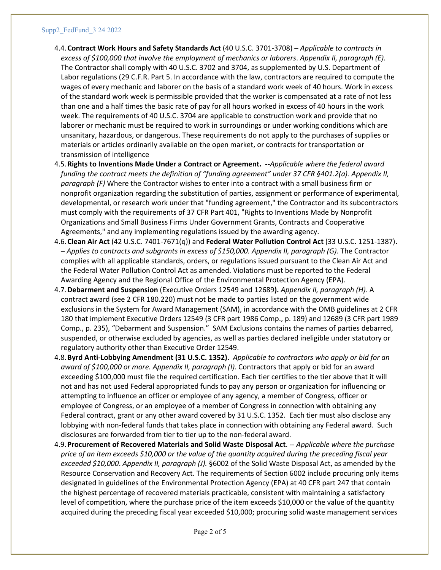#### Supp2\_FedFund\_3 24 2022

- 4.4.**Contract Work Hours and Safety Standards Act** (40 U.S.C. 3701-3708) *Applicable to contracts in excess of \$100,000 that involve the employment of mechanics or laborers*. *Appendix II, paragraph (E).*  The Contractor shall comply with 40 U.S.C. 3702 and 3704, as supplemented by U.S. Department of Labor regulations (29 C.F.R. Part 5. In accordance with the law, contractors are required to compute the wages of every mechanic and laborer on the basis of a standard work week of 40 hours. Work in excess of the standard work week is permissible provided that the worker is compensated at a rate of not less than one and a half times the basic rate of pay for all hours worked in excess of 40 hours in the work week. The requirements of 40 U.S.C. 3704 are applicable to construction work and provide that no laborer or mechanic must be required to work in surroundings or under working conditions which are unsanitary, hazardous, or dangerous. These requirements do not apply to the purchases of supplies or materials or articles ordinarily available on the open market, or contracts for transportation or transmission of intelligence
- 4.5.**Rights to Inventions Made Under a Contract or Agreement. --***Applicable where the federal award funding the contract meets the definition of "funding agreement" under 37 CFR §401.2(a). Appendix II, paragraph (F)* Where the Contractor wishes to enter into a contract with a small business firm or nonprofit organization regarding the substitution of parties, assignment or performance of experimental, developmental, or research work under that "funding agreement," the Contractor and its subcontractors must comply with the requirements of 37 CFR Part 401, "Rights to Inventions Made by Nonprofit Organizations and Small Business Firms Under Government Grants, Contracts and Cooperative Agreements," and any implementing regulations issued by the awarding agency.
- 4.6.**Clean Air Act** (42 U.S.C. 7401-7671(q)) and **Federal Water Pollution Control Act** (33 U.S.C. 1251-1387)**. –** *Applies to contracts and subgrants in excess of \$150,000. Appendix II, paragraph (G).* The Contractor complies with all applicable standards, orders, or regulations issued pursuant to the Clean Air Act and the Federal Water Pollution Control Act as amended. Violations must be reported to the Federal Awarding Agency and the Regional Office of the Environmental Protection Agency (EPA).
- 4.7.**Debarment and Suspension** (Executive Orders 12549 and 12689**).** *Appendix II, paragraph (H)*. A contract award (see 2 CFR 180.220) must not be made to parties listed on the government wide exclusions in the System for Award Management (SAM), in accordance with the OMB guidelines at 2 CFR 180 that implement Executive Orders 12549 (3 CFR part 1986 Comp., p. 189) and 12689 (3 CFR part 1989 Comp., p. 235), "Debarment and Suspension." SAM Exclusions contains the names of parties debarred, suspended, or otherwise excluded by agencies, as well as parties declared ineligible under statutory or regulatory authority other than Executive Order 12549.
- 4.8.**Byrd Anti-Lobbying Amendment (31 U.S.C. 1352).** *Applicable to contractors who apply or bid for an award of \$100,000 or more. Appendix II, paragraph (I).* Contractors that apply or bid for an award exceeding \$100,000 must file the required certification. Each tier certifies to the tier above that it will not and has not used Federal appropriated funds to pay any person or organization for influencing or attempting to influence an officer or employee of any agency, a member of Congress, officer or employee of Congress, or an employee of a member of Congress in connection with obtaining any Federal contract, grant or any other award covered by 31 U.S.C. 1352. Each tier must also disclose any lobbying with non-federal funds that takes place in connection with obtaining any Federal award. Such disclosures are forwarded from tier to tier up to the non-federal award.
- 4.9.**Procurement of Recovered Materials and Solid Waste Disposal Act**. -- *Applicable where the purchase price of an item exceeds \$10,000 or the value of the quantity acquired during the preceding fiscal year exceeded \$10,000*. *Appendix II, paragraph (J).* §6002 of the Solid Waste Disposal Act, as amended by the Resource Conservation and Recovery Act. The requirements of Section 6002 include procuring only items designated in guidelines of the Environmental Protection Agency (EPA) at 40 CFR part 247 that contain the highest percentage of recovered materials practicable, consistent with maintaining a satisfactory level of competition, where the purchase price of the item exceeds \$10,000 or the value of the quantity acquired during the preceding fiscal year exceeded \$10,000; procuring solid waste management services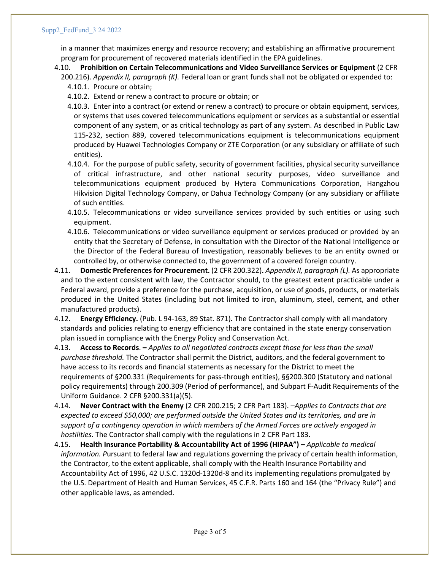in a manner that maximizes energy and resource recovery; and establishing an affirmative procurement program for procurement of recovered materials identified in the EPA guidelines.

- 4.10. **Prohibition on Certain Telecommunications and Video Surveillance Services or Equipment** (2 CFR 200.216). *Appendix II, paragraph (K).* Federal loan or grant funds shall not be obligated or expended to:
	- 4.10.1. Procure or obtain;
	- 4.10.2. Extend or renew a contract to procure or obtain; or
	- 4.10.3. Enter into a contract (or extend or renew a contract) to procure or obtain equipment, services, or systems that uses covered telecommunications equipment or services as a substantial or essential component of any system, or as critical technology as part of any system. As described in Public Law 115-232, section 889, covered telecommunications equipment is telecommunications equipment produced by Huawei Technologies Company or ZTE Corporation (or any subsidiary or affiliate of such entities).
	- 4.10.4. For the purpose of public safety, security of government facilities, physical security surveillance of critical infrastructure, and other national security purposes, video surveillance and telecommunications equipment produced by Hytera Communications Corporation, Hangzhou Hikvision Digital Technology Company, or Dahua Technology Company (or any subsidiary or affiliate of such entities.
	- 4.10.5. Telecommunications or video surveillance services provided by such entities or using such equipment.
	- 4.10.6. Telecommunications or video surveillance equipment or services produced or provided by an entity that the Secretary of Defense, in consultation with the Director of the National Intelligence or the Director of the Federal Bureau of Investigation, reasonably believes to be an entity owned or controlled by, or otherwise connected to, the government of a covered foreign country.
- 4.11. **Domestic Preferences for Procurement.** (2 CFR 200.322)**.** *Appendix II, paragraph (L).* As appropriate and to the extent consistent with law, the Contractor should, to the greatest extent practicable under a Federal award, provide a preference for the purchase, acquisition, or use of goods, products, or materials produced in the United States (including but not limited to iron, aluminum, steel, cement, and other manufactured products).
- 4.12. **Energy Efficiency.** (Pub. L 94-163, 89 Stat. 871)**.** The Contractor shall comply with all mandatory standards and policies relating to energy efficiency that are contained in the state energy conservation plan issued in compliance with the Energy Policy and Conservation Act.
- 4.13. **Access to Records**. **–** *Applies to all negotiated contracts except those for less than the small purchase threshold.* The Contractor shall permit the District, auditors, and the federal government to have access to its records and financial statements as necessary for the District to meet the requirements of §200.331 (Requirements for pass-through entities), §§200.300 (Statutory and national policy requirements) through 200.309 (Period of performance), and Subpart F-Audit Requirements of the Uniform Guidance. 2 CFR §200.331(a)(5).
- 4.14. **Never Contract with the Enemy** (2 CFR 200.215; 2 CFR Part 183). –*Applies to Contracts that are expected to exceed \$50,000; are performed outside the United States and its territories, and are in support of a contingency operation in which members of the Armed Forces are actively engaged in hostilities.* The Contractor shall comply with the regulations in 2 CFR Part 183.
- 4.15. **Health Insurance Portability & Accountability Act of 1996 (HIPAA") –** *Applicable to medical information. P*ursuant to federal law and regulations governing the privacy of certain health information, the Contractor, to the extent applicable, shall comply with the Health Insurance Portability and Accountability Act of 1996, 42 U.S.C. 1320d-1320d-8 and its implementing regulations promulgated by the U.S. Department of Health and Human Services, 45 C.F.R. Parts 160 and 164 (the "Privacy Rule") and other applicable laws, as amended.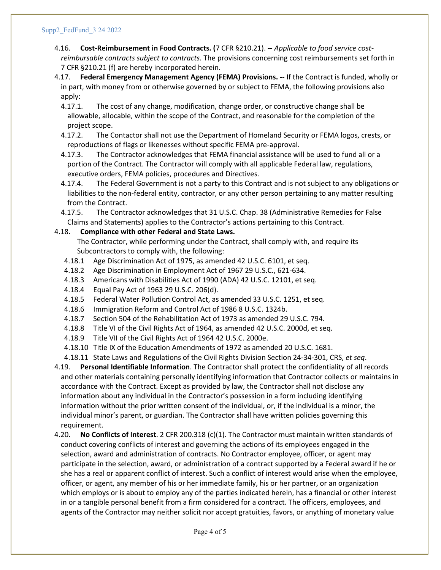#### Supp2\_FedFund\_3 24 2022

- 4.16. **Cost-Reimbursement in Food Contracts. (**7 CFR §210.21). **--** *Applicable to food service costreimbursable contracts subject to contracts.* The provisions concerning cost reimbursements set forth in 7 CFR §210.21 (f) are hereby incorporated herein.
- 4.17. **Federal Emergency Management Agency (FEMA) Provisions. --** If the Contract is funded, wholly or in part, with money from or otherwise governed by or subject to FEMA, the following provisions also apply:
	- 4.17.1. The cost of any change, modification, change order, or constructive change shall be allowable, allocable, within the scope of the Contract, and reasonable for the completion of the project scope.
	- 4.17.2. The Contactor shall not use the Department of Homeland Security or FEMA logos, crests, or reproductions of flags or likenesses without specific FEMA pre-approval.
	- 4.17.3. The Contractor acknowledges that FEMA financial assistance will be used to fund all or a portion of the Contract. The Contractor will comply with all applicable Federal law, regulations, executive orders, FEMA policies, procedures and Directives.
	- 4.17.4. The Federal Government is not a party to this Contract and is not subject to any obligations or liabilities to the non-federal entity, contractor, or any other person pertaining to any matter resulting from the Contract.
	- 4.17.5. The Contractor acknowledges that 31 U.S.C. Chap. 38 (Administrative Remedies for False Claims and Statements) applies to the Contractor's actions pertaining to this Contract.

### 4.18. **Compliance with other Federal and State Laws.**

The Contractor, while performing under the Contract, shall comply with, and require its Subcontractors to comply with, the following:

- 4.18.1 Age Discrimination Act of 1975, as amended 42 U.S.C. 6101, et seq.
- 4.18.2 Age Discrimination in Employment Act of 1967 29 U.S.C., 621-634.
- 4.18.3 Americans with Disabilities Act of 1990 (ADA) 42 U.S.C. 12101, et seq.
- 4.18.4 Equal Pay Act of 1963 29 U.S.C. 206(d).
- 4.18.5 Federal Water Pollution Control Act, as amended 33 U.S.C. 1251, et seq.
- 4.18.6 Immigration Reform and Control Act of 1986 8 U.S.C. 1324b.
- 4.18.7 Section 504 of the Rehabilitation Act of 1973 as amended 29 U.S.C. 794.
- 4.18.8 Title VI of the Civil Rights Act of 1964, as amended 42 U.S.C. 2000d, et seq.
- 4.18.9 Title VII of the Civil Rights Act of 1964 42 U.S.C. 2000e.
- 4.18.10 Title IX of the Education Amendments of 1972 as amended 20 U.S.C. 1681.
- 4.18.11 State Laws and Regulations of the Civil Rights Division Section 24-34-301, CRS, *et seq*.

4.19. **Personal Identifiable Information**. The Contractor shall protect the confidentiality of all records and other materials containing personally identifying information that Contractor collects or maintains in accordance with the Contract. Except as provided by law, the Contractor shall not disclose any information about any individual in the Contractor's possession in a form including identifying information without the prior written consent of the individual, or, if the individual is a minor, the individual minor's parent, or guardian. The Contractor shall have written policies governing this requirement.

4.20. **No Conflicts of Interest**. 2 CFR 200.318 (c)(1). The Contractor must maintain written standards of conduct covering conflicts of interest and governing the actions of its employees engaged in the selection, award and administration of contracts. No Contractor employee, officer, or agent may participate in the selection, award, or administration of a contract supported by a Federal award if he or she has a real or apparent conflict of interest. Such a conflict of interest would arise when the employee, officer, or agent, any member of his or her immediate family, his or her partner, or an organization which employs or is about to employ any of the parties indicated herein, has a financial or other interest in or a tangible personal benefit from a firm considered for a contract. The officers, employees, and agents of the Contractor may neither solicit nor accept gratuities, favors, or anything of monetary value